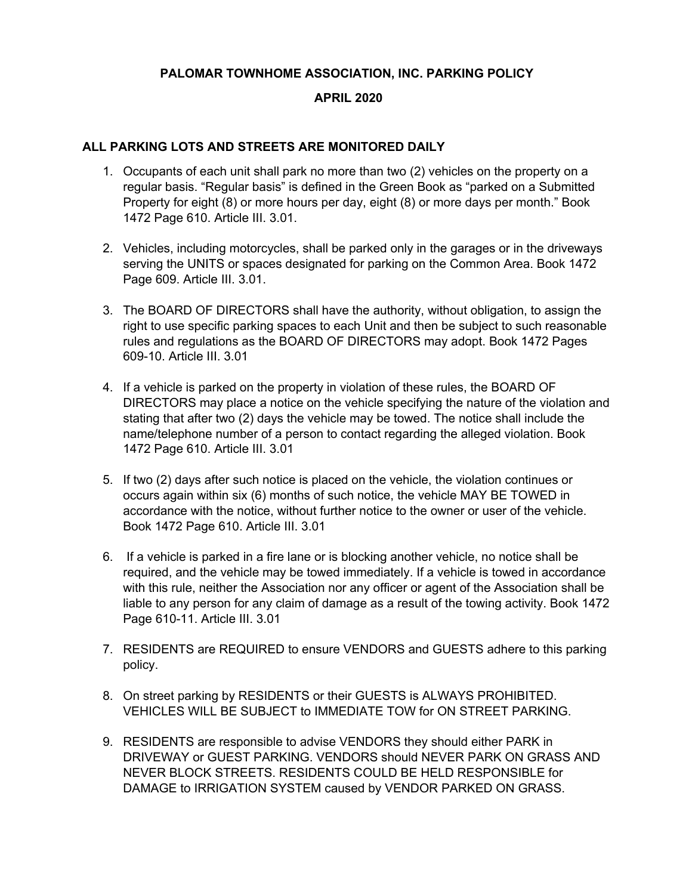## **PALOMAR TOWNHOME ASSOCIATION, INC. PARKING POLICY**

## **APRIL 2020**

## **ALL PARKING LOTS AND STREETS ARE MONITORED DAILY**

- 1. Occupants of each unit shall park no more than two (2) vehicles on the property on a regular basis. "Regular basis" is defined in the Green Book as "parked on a Submitted Property for eight (8) or more hours per day, eight (8) or more days per month." Book 1472 Page 610. Article III. 3.01.
- 2. Vehicles, including motorcycles, shall be parked only in the garages or in the driveways serving the UNITS or spaces designated for parking on the Common Area. Book 1472 Page 609. Article III. 3.01.
- 3. The BOARD OF DIRECTORS shall have the authority, without obligation, to assign the right to use specific parking spaces to each Unit and then be subject to such reasonable rules and regulations as the BOARD OF DIRECTORS may adopt. Book 1472 Pages 609-10. Article III. 3.01
- 4. If a vehicle is parked on the property in violation of these rules, the BOARD OF DIRECTORS may place a notice on the vehicle specifying the nature of the violation and stating that after two (2) days the vehicle may be towed. The notice shall include the name/telephone number of a person to contact regarding the alleged violation. Book 1472 Page 610. Article III. 3.01
- 5. If two (2) days after such notice is placed on the vehicle, the violation continues or occurs again within six (6) months of such notice, the vehicle MAY BE TOWED in accordance with the notice, without further notice to the owner or user of the vehicle. Book 1472 Page 610. Article III. 3.01
- 6. If a vehicle is parked in a fire lane or is blocking another vehicle, no notice shall be required, and the vehicle may be towed immediately. If a vehicle is towed in accordance with this rule, neither the Association nor any officer or agent of the Association shall be liable to any person for any claim of damage as a result of the towing activity. Book 1472 Page 610-11. Article III. 3.01
- 7. RESIDENTS are REQUIRED to ensure VENDORS and GUESTS adhere to this parking policy.
- 8. On street parking by RESIDENTS or their GUESTS is ALWAYS PROHIBITED. VEHICLES WILL BE SUBJECT to IMMEDIATE TOW for ON STREET PARKING.
- 9. RESIDENTS are responsible to advise VENDORS they should either PARK in DRIVEWAY or GUEST PARKING. VENDORS should NEVER PARK ON GRASS AND NEVER BLOCK STREETS. RESIDENTS COULD BE HELD RESPONSIBLE for DAMAGE to IRRIGATION SYSTEM caused by VENDOR PARKED ON GRASS.